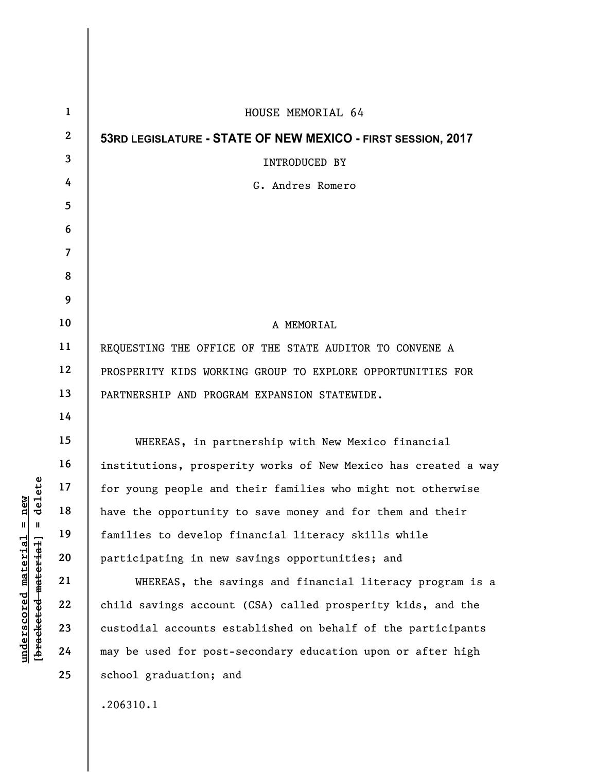| $\mathbf{1}$     | HOUSE MEMORIAL 64                                              |
|------------------|----------------------------------------------------------------|
| $\boldsymbol{2}$ | 53RD LEGISLATURE - STATE OF NEW MEXICO - FIRST SESSION, 2017   |
| 3                | INTRODUCED BY                                                  |
| 4                | G. Andres Romero                                               |
| 5                |                                                                |
| 6                |                                                                |
| 7                |                                                                |
| 8                |                                                                |
| 9                |                                                                |
| 10               | A MEMORIAL                                                     |
| 11               | REQUESTING THE OFFICE OF THE STATE AUDITOR TO CONVENE A        |
| 12               | PROSPERITY KIDS WORKING GROUP TO EXPLORE OPPORTUNITIES FOR     |
| 13               | PARTNERSHIP AND PROGRAM EXPANSION STATEWIDE.                   |
| 14               |                                                                |
| 15               | WHEREAS, in partnership with New Mexico financial              |
| 16               | institutions, prosperity works of New Mexico has created a way |
| 17               | for young people and their families who might not otherwise    |
| 18               | have the opportunity to save money and for them and their      |
| 19               | families to develop financial literacy skills while            |
| 20               | participating in new savings opportunities; and                |
| 21               | WHEREAS, the savings and financial literacy program is a       |
| 22               | child savings account (CSA) called prosperity kids, and the    |
| 23               | custodial accounts established on behalf of the participants   |
| 24               | may be used for post-secondary education upon or after high    |
| 25               | school graduation; and                                         |
|                  | .206310.1                                                      |

 $[bracketeed-materiat] = delete$ **[bracketed material] = delete**  $underscored material = new$ **underscored material = new**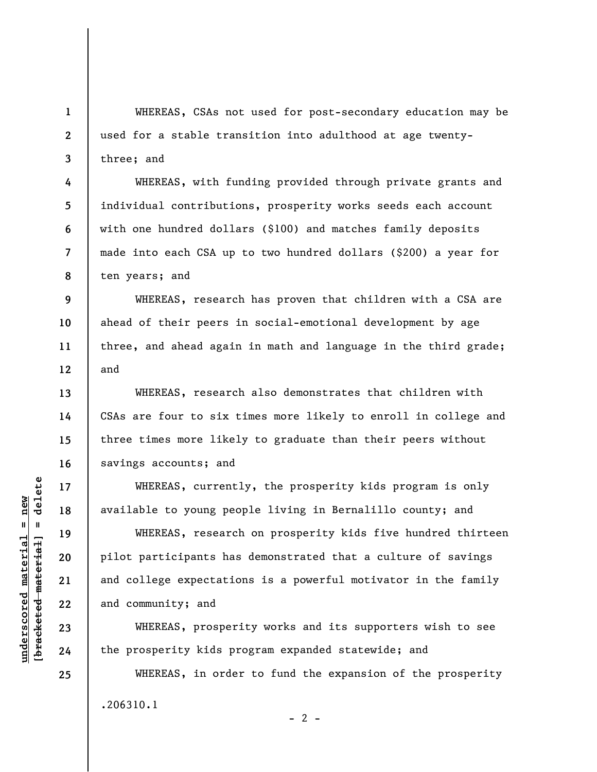WHEREAS, CSAs not used for post-secondary education may be used for a stable transition into adulthood at age twentythree; and

WHEREAS, with funding provided through private grants and individual contributions, prosperity works seeds each account with one hundred dollars (\$100) and matches family deposits made into each CSA up to two hundred dollars (\$200) a year for ten years; and

WHEREAS, research has proven that children with a CSA are ahead of their peers in social-emotional development by age three, and ahead again in math and language in the third grade; and

WHEREAS, research also demonstrates that children with CSAs are four to six times more likely to enroll in college and three times more likely to graduate than their peers without savings accounts; and

WHEREAS, currently, the prosperity kids program is only available to young people living in Bernalillo county; and

WHEREAS, research on prosperity kids five hundred thirteen pilot participants has demonstrated that a culture of savings and college expectations is a powerful motivator in the family and community; and

WHEREAS, prosperity works and its supporters wish to see the prosperity kids program expanded statewide; and

WHEREAS, in order to fund the expansion of the prosperity .206310.1  $- 2 -$ 

**1** 

**2** 

**3** 

**4** 

**5** 

**6** 

**7** 

**8** 

**9** 

**10** 

**11** 

**12** 

**13** 

**14** 

**15** 

**16** 

**17** 

**18** 

**19** 

**20** 

**21** 

**22** 

**23** 

**24** 

**25**